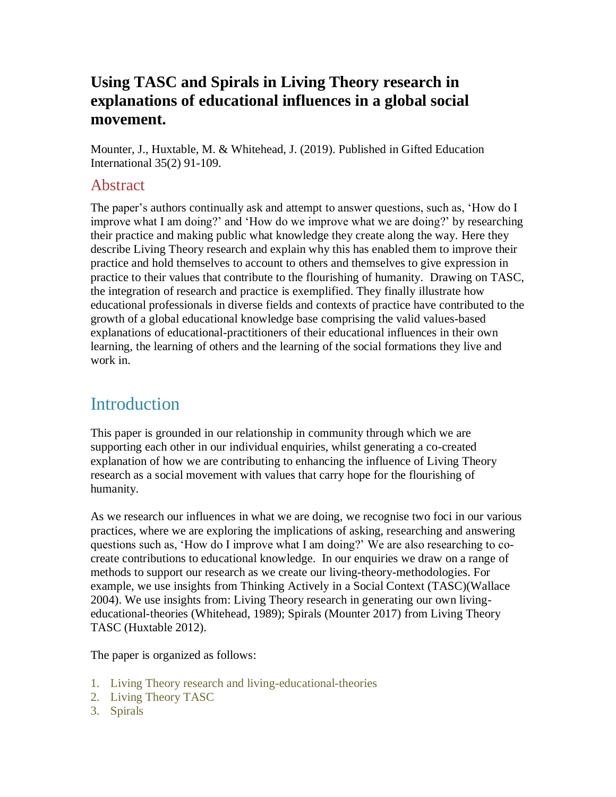## **Using TASC and Spirals in Living Theory research in explanations of educational influences in a global social movement.**

Mounter, J., Huxtable, M. & Whitehead, J. (2019). Published in Gifted Education International 35(2) 91-109.

### Abstract

The paper's authors continually ask and attempt to answer questions, such as, 'How do I improve what I am doing?' and 'How do we improve what we are doing?' by researching their practice and making public what knowledge they create along the way. Here they describe Living Theory research and explain why this has enabled them to improve their practice and hold themselves to account to others and themselves to give expression in practice to their values that contribute to the flourishing of humanity. Drawing on TASC, the integration of research and practice is exemplified. They finally illustrate how educational professionals in diverse fields and contexts of practice have contributed to the growth of a global educational knowledge base comprising the valid values-based explanations of educational-practitioners of their educational influences in their own learning, the learning of others and the learning of the social formations they live and work in.

# **Introduction**

This paper is grounded in our relationship in community through which we are supporting each other in our individual enquiries, whilst generating a co-created explanation of how we are contributing to enhancing the influence of Living Theory research as a social movement with values that carry hope for the flourishing of humanity.

As we research our influences in what we are doing, we recognise two foci in our various practices, where we are exploring the implications of asking, researching and answering questions such as, 'How do I improve what I am doing?' We are also researching to cocreate contributions to educational knowledge. In our enquiries we draw on a range of methods to support our research as we create our living-theory-methodologies. For example, we use insights from Thinking Actively in a Social Context (TASC)(Wallace 2004). We use insights from: Living Theory research in generating our own livingeducational-theories (Whitehead, 1989); Spirals (Mounter 2017) from Living Theory TASC (Huxtable 2012).

The paper is organized as follows:

- 1. Living Theory research and living-educational-theories
- 2. Living Theory TASC
- 3. Spirals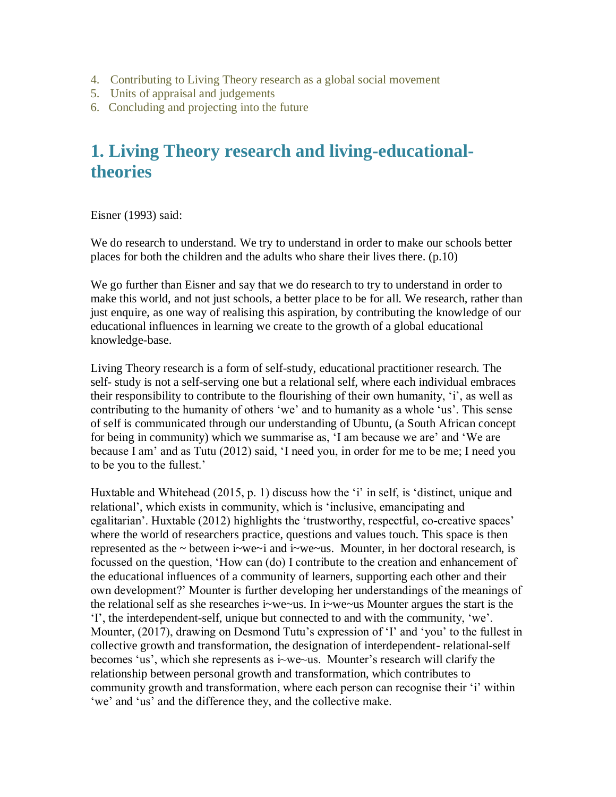- 4. Contributing to Living Theory research as a global social movement
- 5. Units of appraisal and judgements
- 6. Concluding and projecting into the future

# **1. Living Theory research and living-educationaltheories**

Eisner (1993) said:

We do research to understand. We try to understand in order to make our schools better places for both the children and the adults who share their lives there. (p.10)

We go further than Eisner and say that we do research to try to understand in order to make this world, and not just schools, a better place to be for all. We research, rather than just enquire, as one way of realising this aspiration, by contributing the knowledge of our educational influences in learning we create to the growth of a global educational knowledge-base.

Living Theory research is a form of self-study, educational practitioner research. The self- study is not a self-serving one but a relational self, where each individual embraces their responsibility to contribute to the flourishing of their own humanity, 'i', as well as contributing to the humanity of others 'we' and to humanity as a whole 'us'. This sense of self is communicated through our understanding of Ubuntu, (a South African concept for being in community) which we summarise as, 'I am because we are' and 'We are because I am' and as Tutu (2012) said, 'I need you, in order for me to be me; I need you to be you to the fullest.'

Huxtable and Whitehead (2015, p. 1) discuss how the 'i' in self, is 'distinct, unique and relational', which exists in community, which is 'inclusive, emancipating and egalitarian'. Huxtable (2012) highlights the 'trustworthy, respectful, co-creative spaces' where the world of researchers practice, questions and values touch. This space is then represented as the ~ between i~we~i and i~we~us. Mounter, in her doctoral research, is focussed on the question, 'How can (do) I contribute to the creation and enhancement of the educational influences of a community of learners, supporting each other and their own development?' Mounter is further developing her understandings of the meanings of the relational self as she researches i~we~us. In i~we~us Mounter argues the start is the 'I', the interdependent-self, unique but connected to and with the community, 'we'. Mounter, (2017), drawing on Desmond Tutu's expression of 'I' and 'you' to the fullest in collective growth and transformation, the designation of interdependent- relational-self becomes 'us', which she represents as i~we~us. Mounter's research will clarify the relationship between personal growth and transformation, which contributes to community growth and transformation, where each person can recognise their 'i' within 'we' and 'us' and the difference they, and the collective make.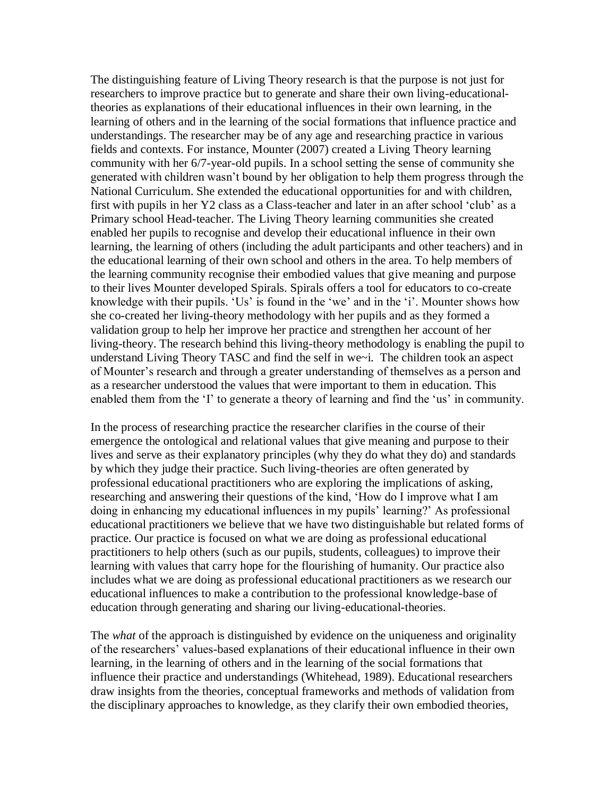The distinguishing feature of Living Theory research is that the purpose is not just for researchers to improve practice but to generate and share their own living-educationaltheories as explanations of their educational influences in their own learning, in the learning of others and in the learning of the social formations that influence practice and understandings. The researcher may be of any age and researching practice in various fields and contexts. For instance, Mounter (2007) created a Living Theory learning community with her 6/7-year-old pupils. In a school setting the sense of community she generated with children wasn't bound by her obligation to help them progress through the National Curriculum. She extended the educational opportunities for and with children, first with pupils in her Y2 class as a Class-teacher and later in an after school 'club' as a Primary school Head-teacher. The Living Theory learning communities she created enabled her pupils to recognise and develop their educational influence in their own learning, the learning of others (including the adult participants and other teachers) and in the educational learning of their own school and others in the area. To help members of the learning community recognise their embodied values that give meaning and purpose to their lives Mounter developed Spirals. Spirals offers a tool for educators to co-create knowledge with their pupils. 'Us' is found in the 'we' and in the 'i'. Mounter shows how she co-created her living-theory methodology with her pupils and as they formed a validation group to help her improve her practice and strengthen her account of her living-theory. The research behind this living-theory methodology is enabling the pupil to understand Living Theory TASC and find the self in we~i. The children took an aspect of Mounter's research and through a greater understanding of themselves as a person and as a researcher understood the values that were important to them in education. This enabled them from the 'I' to generate a theory of learning and find the 'us' in community.

In the process of researching practice the researcher clarifies in the course of their emergence the ontological and relational values that give meaning and purpose to their lives and serve as their explanatory principles (why they do what they do) and standards by which they judge their practice. Such living-theories are often generated by professional educational practitioners who are exploring the implications of asking, researching and answering their questions of the kind, 'How do I improve what I am doing in enhancing my educational influences in my pupils' learning?' As professional educational practitioners we believe that we have two distinguishable but related forms of practice. Our practice is focused on what we are doing as professional educational practitioners to help others (such as our pupils, students, colleagues) to improve their learning with values that carry hope for the flourishing of humanity. Our practice also includes what we are doing as professional educational practitioners as we research our educational influences to make a contribution to the professional knowledge-base of education through generating and sharing our living-educational-theories.

The *what* of the approach is distinguished by evidence on the uniqueness and originality of the researchers' values-based explanations of their educational influence in their own learning, in the learning of others and in the learning of the social formations that influence their practice and understandings (Whitehead, 1989). Educational researchers draw insights from the theories, conceptual frameworks and methods of validation from the disciplinary approaches to knowledge, as they clarify their own embodied theories,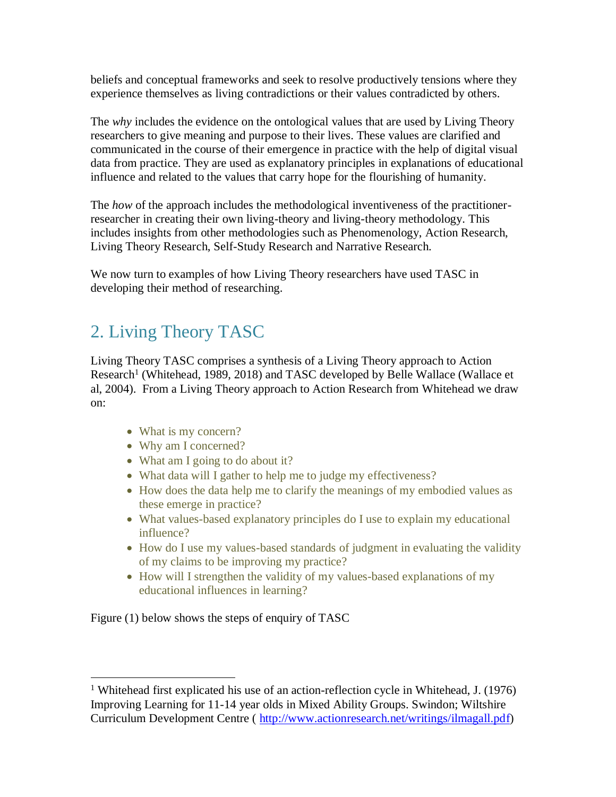beliefs and conceptual frameworks and seek to resolve productively tensions where they experience themselves as living contradictions or their values contradicted by others.

The *why* includes the evidence on the ontological values that are used by Living Theory researchers to give meaning and purpose to their lives. These values are clarified and communicated in the course of their emergence in practice with the help of digital visual data from practice. They are used as explanatory principles in explanations of educational influence and related to the values that carry hope for the flourishing of humanity.

The *how* of the approach includes the methodological inventiveness of the practitionerresearcher in creating their own living-theory and living-theory methodology. This includes insights from other methodologies such as Phenomenology, Action Research, Living Theory Research, Self-Study Research and Narrative Research.

We now turn to examples of how Living Theory researchers have used TASC in developing their method of researching.

# 2. Living Theory TASC

Living Theory TASC comprises a synthesis of a Living Theory approach to Action Research<sup>1</sup> (Whitehead, 1989, 2018) and TASC developed by Belle Wallace (Wallace et al, 2004). From a Living Theory approach to Action Research from Whitehead we draw on:

- What is my concern?
- Why am I concerned?
- What am I going to do about it?
- What data will I gather to help me to judge my effectiveness?
- How does the data help me to clarify the meanings of my embodied values as these emerge in practice?
- What values-based explanatory principles do I use to explain my educational influence?
- How do I use my values-based standards of judgment in evaluating the validity of my claims to be improving my practice?
- How will I strengthen the validity of my values-based explanations of my educational influences in learning?

Figure (1) below shows the steps of enquiry of TASC

 $\overline{a}$ 

<sup>1</sup> Whitehead first explicated his use of an action-reflection cycle in Whitehead, J. (1976) Improving Learning for 11-14 year olds in Mixed Ability Groups. Swindon; Wiltshire Curriculum Development Centre ( [http://www.actionresearch.net/writings/ilmagall.pdf\)](http://www.actionresearch.net/writings/ilmagall.pdf)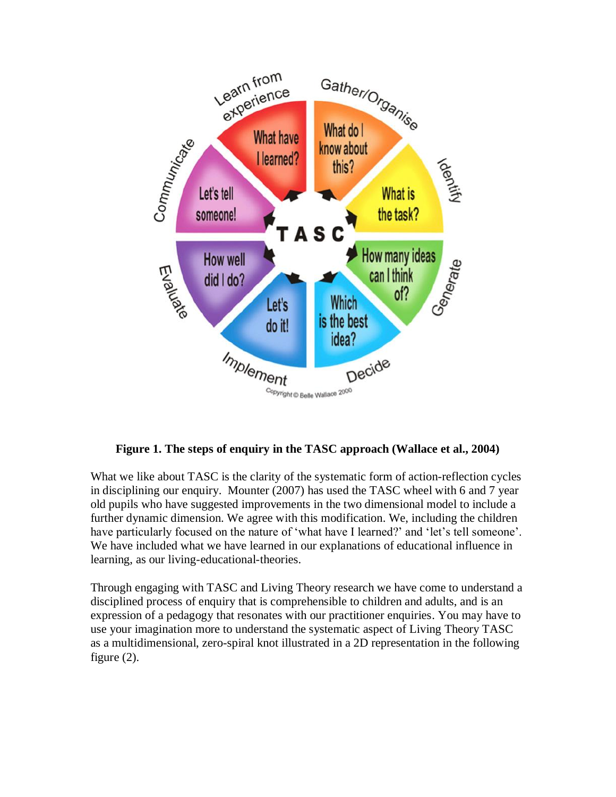

#### **Figure 1. The steps of enquiry in the TASC approach (Wallace et al., 2004)**

What we like about TASC is the clarity of the systematic form of action-reflection cycles in disciplining our enquiry. Mounter (2007) has used the TASC wheel with 6 and 7 year old pupils who have suggested improvements in the two dimensional model to include a further dynamic dimension. We agree with this modification. We, including the children have particularly focused on the nature of 'what have I learned?' and 'let's tell someone'. We have included what we have learned in our explanations of educational influence in learning, as our living-educational-theories.

Through engaging with TASC and Living Theory research we have come to understand a disciplined process of enquiry that is comprehensible to children and adults, and is an expression of a pedagogy that resonates with our practitioner enquiries. You may have to use your imagination more to understand the systematic aspect of Living Theory TASC as a multidimensional, zero-spiral knot illustrated in a 2D representation in the following figure (2).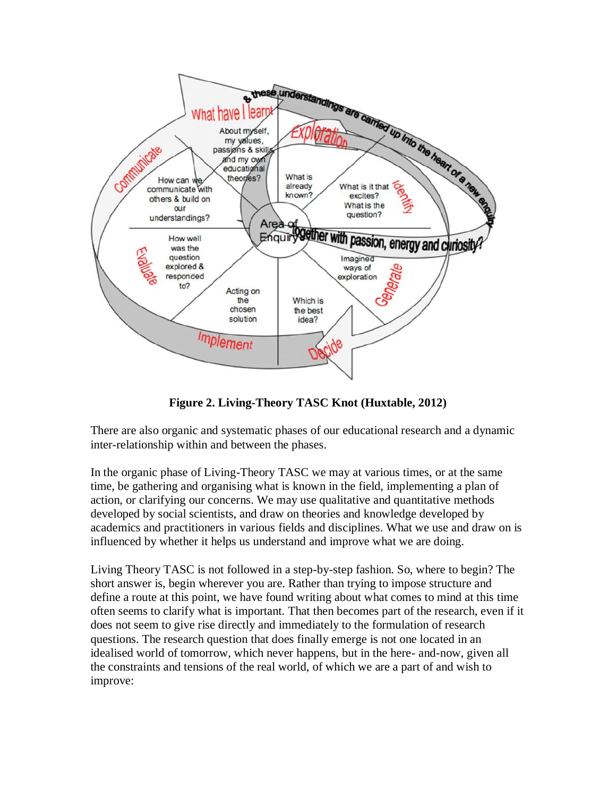

**Figure 2. Living-Theory TASC Knot (Huxtable, 2012)**

There are also organic and systematic phases of our educational research and a dynamic inter-relationship within and between the phases.

In the organic phase of Living-Theory TASC we may at various times, or at the same time, be gathering and organising what is known in the field, implementing a plan of action, or clarifying our concerns. We may use qualitative and quantitative methods developed by social scientists, and draw on theories and knowledge developed by academics and practitioners in various fields and disciplines. What we use and draw on is influenced by whether it helps us understand and improve what we are doing.

Living Theory TASC is not followed in a step-by-step fashion. So, where to begin? The short answer is, begin wherever you are. Rather than trying to impose structure and define a route at this point, we have found writing about what comes to mind at this time often seems to clarify what is important. That then becomes part of the research, even if it does not seem to give rise directly and immediately to the formulation of research questions. The research question that does finally emerge is not one located in an idealised world of tomorrow, which never happens, but in the here- and-now, given all the constraints and tensions of the real world, of which we are a part of and wish to improve: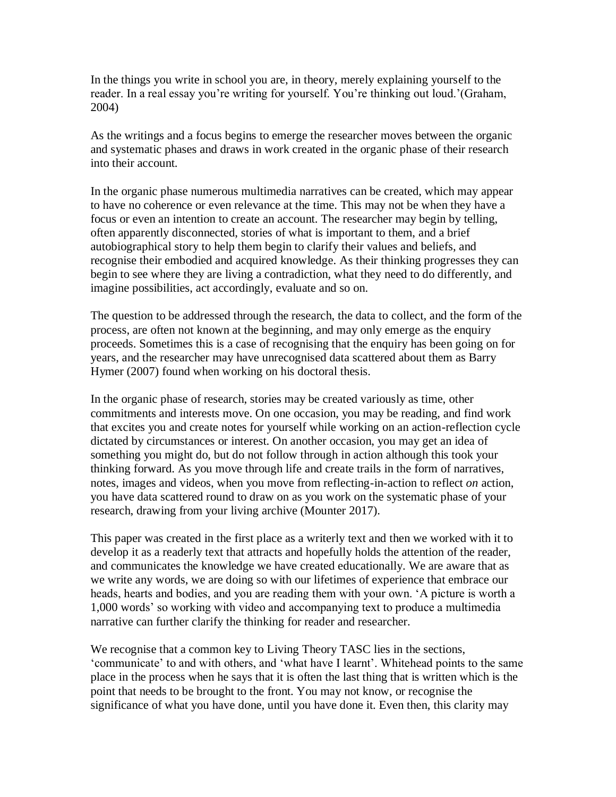In the things you write in school you are, in theory, merely explaining yourself to the reader. In a real essay you're writing for yourself. You're thinking out loud.'(Graham, 2004)

As the writings and a focus begins to emerge the researcher moves between the organic and systematic phases and draws in work created in the organic phase of their research into their account.

In the organic phase numerous multimedia narratives can be created, which may appear to have no coherence or even relevance at the time. This may not be when they have a focus or even an intention to create an account. The researcher may begin by telling, often apparently disconnected, stories of what is important to them, and a brief autobiographical story to help them begin to clarify their values and beliefs, and recognise their embodied and acquired knowledge. As their thinking progresses they can begin to see where they are living a contradiction, what they need to do differently, and imagine possibilities, act accordingly, evaluate and so on.

The question to be addressed through the research, the data to collect, and the form of the process, are often not known at the beginning, and may only emerge as the enquiry proceeds. Sometimes this is a case of recognising that the enquiry has been going on for years, and the researcher may have unrecognised data scattered about them as Barry Hymer (2007) found when working on his doctoral thesis.

In the organic phase of research, stories may be created variously as time, other commitments and interests move. On one occasion, you may be reading, and find work that excites you and create notes for yourself while working on an action-reflection cycle dictated by circumstances or interest. On another occasion, you may get an idea of something you might do, but do not follow through in action although this took your thinking forward. As you move through life and create trails in the form of narratives, notes, images and videos, when you move from reflecting-in-action to reflect *on* action, you have data scattered round to draw on as you work on the systematic phase of your research, drawing from your living archive (Mounter 2017).

This paper was created in the first place as a writerly text and then we worked with it to develop it as a readerly text that attracts and hopefully holds the attention of the reader, and communicates the knowledge we have created educationally. We are aware that as we write any words, we are doing so with our lifetimes of experience that embrace our heads, hearts and bodies, and you are reading them with your own. 'A picture is worth a 1,000 words' so working with video and accompanying text to produce a multimedia narrative can further clarify the thinking for reader and researcher.

We recognise that a common key to Living Theory TASC lies in the sections, 'communicate' to and with others, and 'what have I learnt'. Whitehead points to the same place in the process when he says that it is often the last thing that is written which is the point that needs to be brought to the front. You may not know, or recognise the significance of what you have done, until you have done it. Even then, this clarity may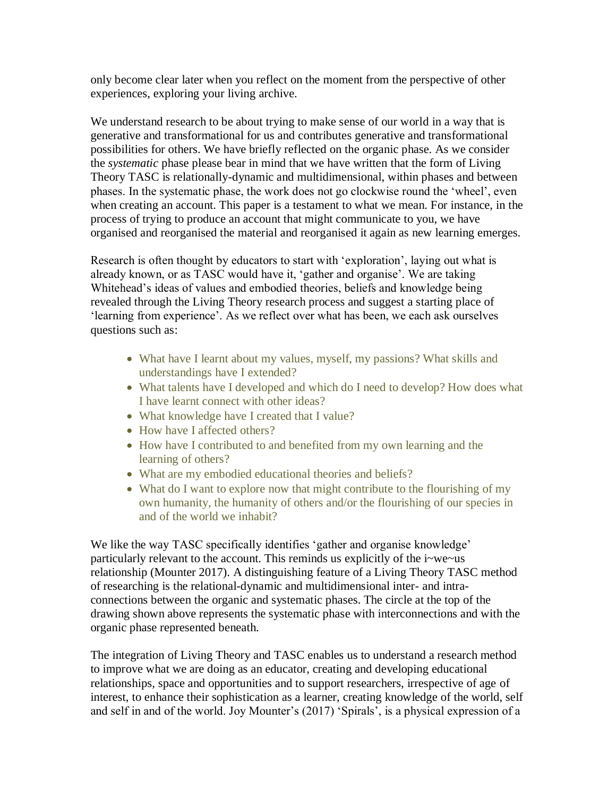only become clear later when you reflect on the moment from the perspective of other experiences, exploring your living archive.

We understand research to be about trying to make sense of our world in a way that is generative and transformational for us and contributes generative and transformational possibilities for others. We have briefly reflected on the organic phase. As we consider the *systematic* phase please bear in mind that we have written that the form of Living Theory TASC is relationally-dynamic and multidimensional, within phases and between phases. In the systematic phase, the work does not go clockwise round the 'wheel', even when creating an account. This paper is a testament to what we mean. For instance, in the process of trying to produce an account that might communicate to you, we have organised and reorganised the material and reorganised it again as new learning emerges.

Research is often thought by educators to start with 'exploration', laying out what is already known, or as TASC would have it, 'gather and organise'. We are taking Whitehead's ideas of values and embodied theories, beliefs and knowledge being revealed through the Living Theory research process and suggest a starting place of 'learning from experience'. As we reflect over what has been, we each ask ourselves questions such as:

- What have I learnt about my values, myself, my passions? What skills and understandings have I extended?
- What talents have I developed and which do I need to develop? How does what I have learnt connect with other ideas?
- What knowledge have I created that I value?
- How have I affected others?
- How have I contributed to and benefited from my own learning and the learning of others?
- What are my embodied educational theories and beliefs?
- What do I want to explore now that might contribute to the flourishing of my own humanity, the humanity of others and/or the flourishing of our species in and of the world we inhabit?

We like the way TASC specifically identifies 'gather and organise knowledge' particularly relevant to the account. This reminds us explicitly of the i~we~us relationship (Mounter 2017). A distinguishing feature of a Living Theory TASC method of researching is the relational-dynamic and multidimensional inter- and intraconnections between the organic and systematic phases. The circle at the top of the drawing shown above represents the systematic phase with interconnections and with the organic phase represented beneath.

The integration of Living Theory and TASC enables us to understand a research method to improve what we are doing as an educator, creating and developing educational relationships, space and opportunities and to support researchers, irrespective of age of interest, to enhance their sophistication as a learner, creating knowledge of the world, self and self in and of the world. Joy Mounter's (2017) 'Spirals', is a physical expression of a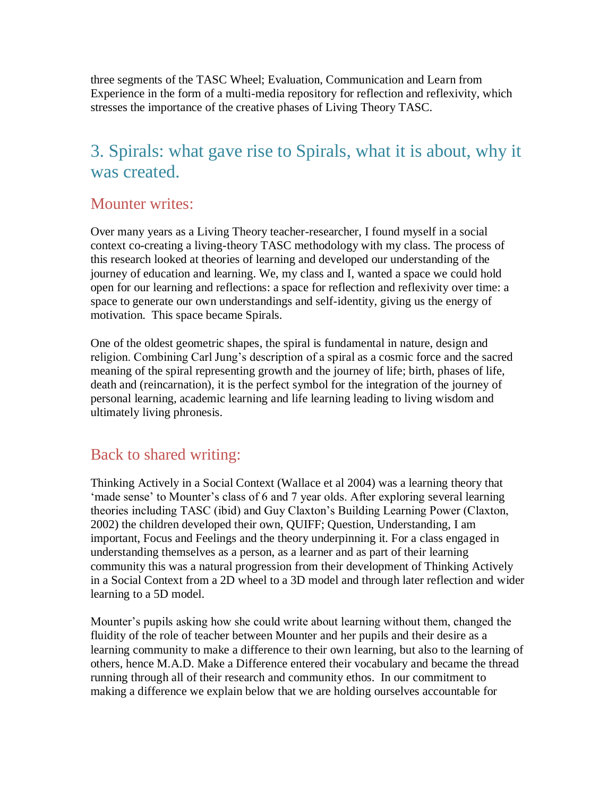three segments of the TASC Wheel; Evaluation, Communication and Learn from Experience in the form of a multi-media repository for reflection and reflexivity, which stresses the importance of the creative phases of Living Theory TASC.

# 3. Spirals: what gave rise to Spirals, what it is about, why it was created.

### Mounter writes:

Over many years as a Living Theory teacher-researcher, I found myself in a social context co-creating a living-theory TASC methodology with my class. The process of this research looked at theories of learning and developed our understanding of the journey of education and learning. We, my class and I, wanted a space we could hold open for our learning and reflections: a space for reflection and reflexivity over time: a space to generate our own understandings and self-identity, giving us the energy of motivation. This space became Spirals.

One of the oldest geometric shapes, the spiral is fundamental in nature, design and religion. Combining Carl Jung's description of a spiral as a cosmic force and the sacred meaning of the spiral representing growth and the journey of life; birth, phases of life, death and (reincarnation), it is the perfect symbol for the integration of the journey of personal learning, academic learning and life learning leading to living wisdom and ultimately living phronesis.

## Back to shared writing:

Thinking Actively in a Social Context (Wallace et al 2004) was a learning theory that 'made sense' to Mounter's class of 6 and 7 year olds. After exploring several learning theories including TASC (ibid) and Guy Claxton's Building Learning Power (Claxton, 2002) the children developed their own, QUIFF; Question, Understanding, I am important, Focus and Feelings and the theory underpinning it. For a class engaged in understanding themselves as a person, as a learner and as part of their learning community this was a natural progression from their development of Thinking Actively in a Social Context from a 2D wheel to a 3D model and through later reflection and wider learning to a 5D model.

Mounter's pupils asking how she could write about learning without them, changed the fluidity of the role of teacher between Mounter and her pupils and their desire as a learning community to make a difference to their own learning, but also to the learning of others, hence M.A.D. Make a Difference entered their vocabulary and became the thread running through all of their research and community ethos. In our commitment to making a difference we explain below that we are holding ourselves accountable for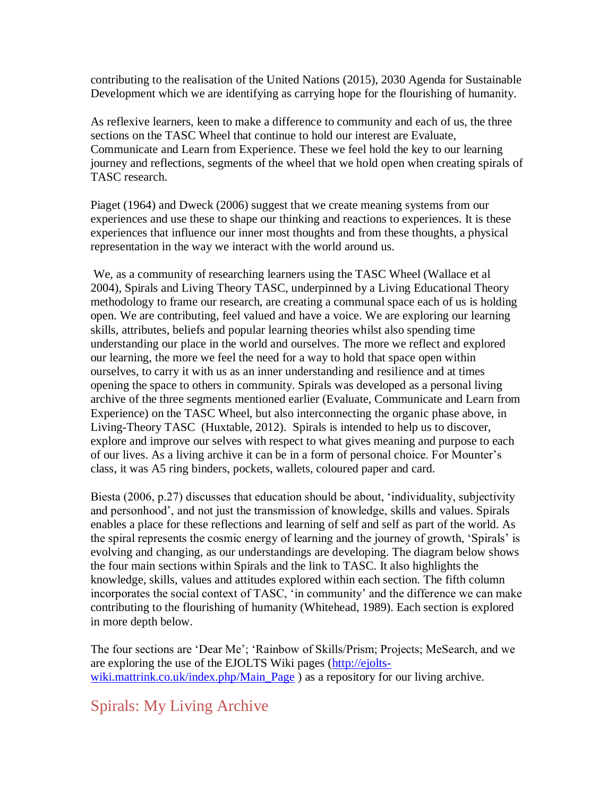contributing to the realisation of the United Nations (2015), 2030 Agenda for Sustainable Development which we are identifying as carrying hope for the flourishing of humanity.

As reflexive learners, keen to make a difference to community and each of us, the three sections on the TASC Wheel that continue to hold our interest are Evaluate, Communicate and Learn from Experience. These we feel hold the key to our learning journey and reflections, segments of the wheel that we hold open when creating spirals of TASC research.

Piaget (1964) and Dweck (2006) suggest that we create meaning systems from our experiences and use these to shape our thinking and reactions to experiences. It is these experiences that influence our inner most thoughts and from these thoughts, a physical representation in the way we interact with the world around us.

We, as a community of researching learners using the TASC Wheel (Wallace et al 2004), Spirals and Living Theory TASC, underpinned by a Living Educational Theory methodology to frame our research, are creating a communal space each of us is holding open. We are contributing, feel valued and have a voice. We are exploring our learning skills, attributes, beliefs and popular learning theories whilst also spending time understanding our place in the world and ourselves. The more we reflect and explored our learning, the more we feel the need for a way to hold that space open within ourselves, to carry it with us as an inner understanding and resilience and at times opening the space to others in community. Spirals was developed as a personal living archive of the three segments mentioned earlier (Evaluate, Communicate and Learn from Experience) on the TASC Wheel, but also interconnecting the organic phase above, in Living-Theory TASC (Huxtable, 2012). Spirals is intended to help us to discover, explore and improve our selves with respect to what gives meaning and purpose to each of our lives. As a living archive it can be in a form of personal choice. For Mounter's class, it was A5 ring binders, pockets, wallets, coloured paper and card.

Biesta (2006, p.27) discusses that education should be about, 'individuality, subjectivity and personhood', and not just the transmission of knowledge, skills and values. Spirals enables a place for these reflections and learning of self and self as part of the world. As the spiral represents the cosmic energy of learning and the journey of growth, 'Spirals' is evolving and changing, as our understandings are developing. The diagram below shows the four main sections within Spirals and the link to TASC. It also highlights the knowledge, skills, values and attitudes explored within each section. The fifth column incorporates the social context of TASC, 'in community' and the difference we can make contributing to the flourishing of humanity (Whitehead, 1989). Each section is explored in more depth below.

The four sections are 'Dear Me'; 'Rainbow of Skills/Prism; Projects; MeSearch, and we are exploring the use of the EJOLTS Wiki pages [\(http://ejolts](http://ejolts-wiki.mattrink.co.uk/index.php/Main_Page)[wiki.mattrink.co.uk/index.php/Main\\_Page](http://ejolts-wiki.mattrink.co.uk/index.php/Main_Page) ) as a repository for our living archive.

## Spirals: My Living Archive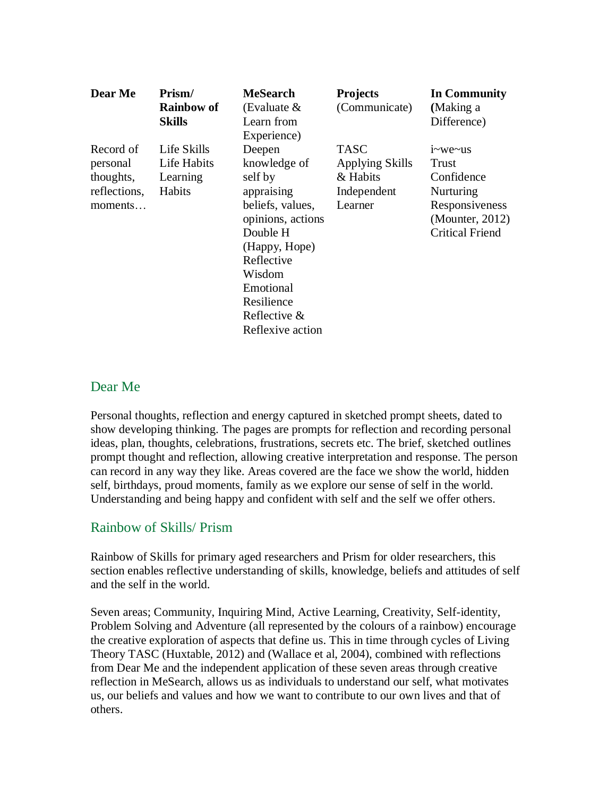| Dear Me                                                       | Prism/<br><b>Rainbow of</b><br><b>Skills</b>     | <b>MeSearch</b><br>(Evaluate $\&$<br>Learn from<br>Experience)                                                                                                                                               | <b>Projects</b><br>(Communicate)                                            | <b>In Community</b><br>(Making a<br>Difference)                                                               |
|---------------------------------------------------------------|--------------------------------------------------|--------------------------------------------------------------------------------------------------------------------------------------------------------------------------------------------------------------|-----------------------------------------------------------------------------|---------------------------------------------------------------------------------------------------------------|
| Record of<br>personal<br>thoughts,<br>reflections,<br>moments | Life Skills<br>Life Habits<br>Learning<br>Habits | Deepen<br>knowledge of<br>self by<br>appraising<br>beliefs, values,<br>opinions, actions<br>Double H<br>(Happy, Hope)<br>Reflective<br>Wisdom<br>Emotional<br>Resilience<br>Reflective &<br>Reflexive action | <b>TASC</b><br><b>Applying Skills</b><br>& Habits<br>Independent<br>Learner | $i$ ~we~us<br>Trust<br>Confidence<br>Nurturing<br>Responsiveness<br>(Mounter, 2012)<br><b>Critical Friend</b> |

#### Dear Me

Personal thoughts, reflection and energy captured in sketched prompt sheets, dated to show developing thinking. The pages are prompts for reflection and recording personal ideas, plan, thoughts, celebrations, frustrations, secrets etc. The brief, sketched outlines prompt thought and reflection, allowing creative interpretation and response. The person can record in any way they like. Areas covered are the face we show the world, hidden self, birthdays, proud moments, family as we explore our sense of self in the world. Understanding and being happy and confident with self and the self we offer others.

### Rainbow of Skills/ Prism

Rainbow of Skills for primary aged researchers and Prism for older researchers, this section enables reflective understanding of skills, knowledge, beliefs and attitudes of self and the self in the world.

Seven areas; Community, Inquiring Mind, Active Learning, Creativity, Self-identity, Problem Solving and Adventure (all represented by the colours of a rainbow) encourage the creative exploration of aspects that define us. This in time through cycles of Living Theory TASC (Huxtable, 2012) and (Wallace et al, 2004), combined with reflections from Dear Me and the independent application of these seven areas through creative reflection in MeSearch, allows us as individuals to understand our self, what motivates us, our beliefs and values and how we want to contribute to our own lives and that of others.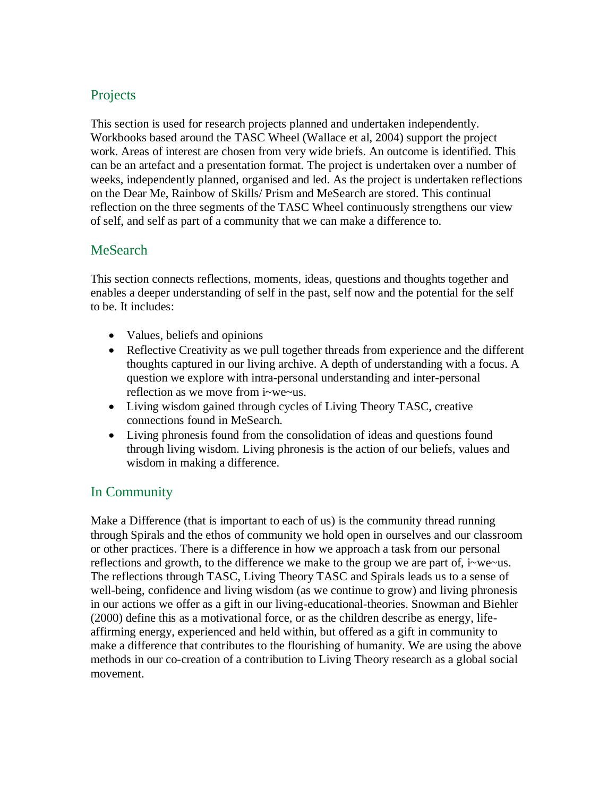### **Projects**

This section is used for research projects planned and undertaken independently. Workbooks based around the TASC Wheel (Wallace et al, 2004) support the project work. Areas of interest are chosen from very wide briefs. An outcome is identified. This can be an artefact and a presentation format. The project is undertaken over a number of weeks, independently planned, organised and led. As the project is undertaken reflections on the Dear Me, Rainbow of Skills/ Prism and MeSearch are stored. This continual reflection on the three segments of the TASC Wheel continuously strengthens our view of self, and self as part of a community that we can make a difference to.

#### MeSearch

This section connects reflections, moments, ideas, questions and thoughts together and enables a deeper understanding of self in the past, self now and the potential for the self to be. It includes:

- Values, beliefs and opinions
- Reflective Creativity as we pull together threads from experience and the different thoughts captured in our living archive. A depth of understanding with a focus. A question we explore with intra-personal understanding and inter-personal reflection as we move from i~we~us.
- Living wisdom gained through cycles of Living Theory TASC, creative connections found in MeSearch.
- Living phronesis found from the consolidation of ideas and questions found through living wisdom. Living phronesis is the action of our beliefs, values and wisdom in making a difference.

### In Community

Make a Difference (that is important to each of us) is the community thread running through Spirals and the ethos of community we hold open in ourselves and our classroom or other practices. There is a difference in how we approach a task from our personal reflections and growth, to the difference we make to the group we are part of, i~we~us. The reflections through TASC, Living Theory TASC and Spirals leads us to a sense of well-being, confidence and living wisdom (as we continue to grow) and living phronesis in our actions we offer as a gift in our living-educational-theories. Snowman and Biehler (2000) define this as a motivational force, or as the children describe as energy, lifeaffirming energy, experienced and held within, but offered as a gift in community to make a difference that contributes to the flourishing of humanity. We are using the above methods in our co-creation of a contribution to Living Theory research as a global social movement.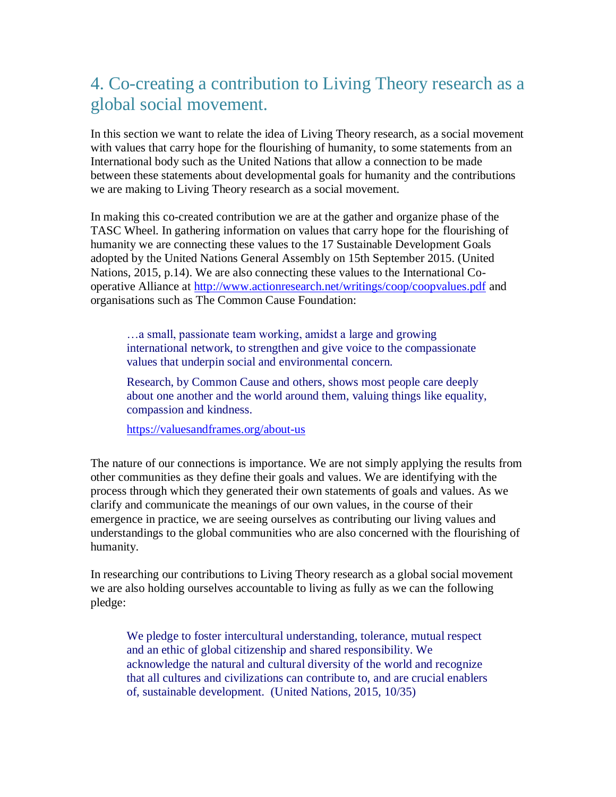# 4. Co-creating a contribution to Living Theory research as a global social movement.

In this section we want to relate the idea of Living Theory research, as a social movement with values that carry hope for the flourishing of humanity, to some statements from an International body such as the United Nations that allow a connection to be made between these statements about developmental goals for humanity and the contributions we are making to Living Theory research as a social movement.

In making this co-created contribution we are at the gather and organize phase of the TASC Wheel. In gathering information on values that carry hope for the flourishing of humanity we are connecting these values to the 17 Sustainable Development Goals adopted by the United Nations General Assembly on 15th September 2015. (United Nations, 2015, p.14). We are also connecting these values to the International Cooperative Alliance at<http://www.actionresearch.net/writings/coop/coopvalues.pdf> and organisations such as The Common Cause Foundation:

…a small, passionate team working, amidst a large and growing international network, to strengthen and give voice to the compassionate values that underpin social and environmental concern.

Research, by Common Cause and others, shows most people care deeply about one another and the world around them, valuing things like equality, compassion and kindness.

<https://valuesandframes.org/about-us>

The nature of our connections is importance. We are not simply applying the results from other communities as they define their goals and values. We are identifying with the process through which they generated their own statements of goals and values. As we clarify and communicate the meanings of our own values, in the course of their emergence in practice, we are seeing ourselves as contributing our living values and understandings to the global communities who are also concerned with the flourishing of humanity.

In researching our contributions to Living Theory research as a global social movement we are also holding ourselves accountable to living as fully as we can the following pledge:

We pledge to foster intercultural understanding, tolerance, mutual respect and an ethic of global citizenship and shared responsibility. We acknowledge the natural and cultural diversity of the world and recognize that all cultures and civilizations can contribute to, and are crucial enablers of, sustainable development. (United Nations, 2015, 10/35)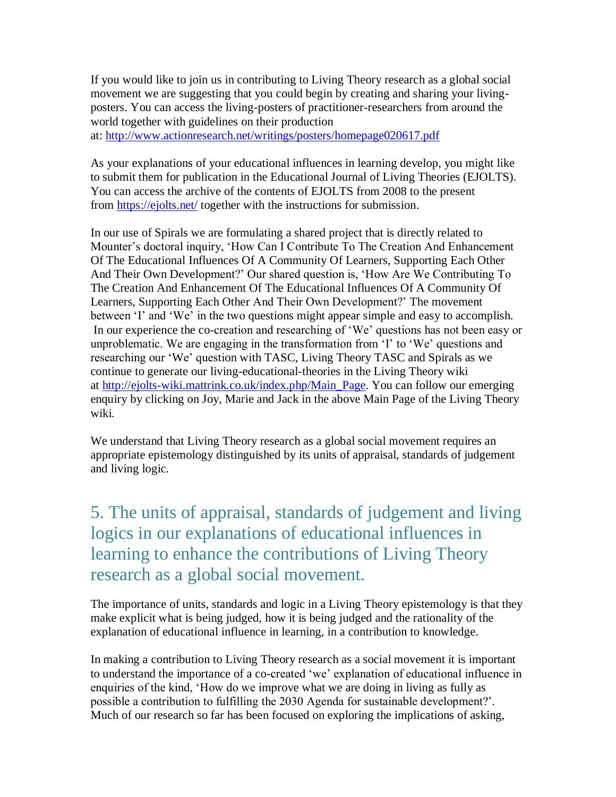If you would like to join us in contributing to Living Theory research as a global social movement we are suggesting that you could begin by creating and sharing your livingposters. You can access the living-posters of practitioner-researchers from around the world together with guidelines on their production

at:<http://www.actionresearch.net/writings/posters/homepage020617.pdf>

As your explanations of your educational influences in learning develop, you might like to submit them for publication in the Educational Journal of Living Theories (EJOLTS). You can access the archive of the contents of EJOLTS from 2008 to the present from <https://ejolts.net/> together with the instructions for submission.

In our use of Spirals we are formulating a shared project that is directly related to Mounter's doctoral inquiry, 'How Can I Contribute To The Creation And Enhancement Of The Educational Influences Of A Community Of Learners, Supporting Each Other And Their Own Development?' Our shared question is, 'How Are We Contributing To The Creation And Enhancement Of The Educational Influences Of A Community Of Learners, Supporting Each Other And Their Own Development?' The movement between 'I' and 'We' in the two questions might appear simple and easy to accomplish. In our experience the co-creation and researching of 'We' questions has not been easy or unproblematic. We are engaging in the transformation from 'I' to 'We' questions and researching our 'We' question with TASC, Living Theory TASC and Spirals as we continue to generate our living-educational-theories in the Living Theory wiki at [http://ejolts-wiki.mattrink.co.uk/index.php/Main\\_Page.](http://ejolts-wiki.mattrink.co.uk/index.php/Main_Page) You can follow our emerging enquiry by clicking on Joy, Marie and Jack in the above Main Page of the Living Theory wiki.

We understand that Living Theory research as a global social movement requires an appropriate epistemology distinguished by its units of appraisal, standards of judgement and living logic.

# 5. The units of appraisal, standards of judgement and living logics in our explanations of educational influences in learning to enhance the contributions of Living Theory research as a global social movement.

The importance of units, standards and logic in a Living Theory epistemology is that they make explicit what is being judged, how it is being judged and the rationality of the explanation of educational influence in learning, in a contribution to knowledge.

In making a contribution to Living Theory research as a social movement it is important to understand the importance of a co-created 'we' explanation of educational influence in enquiries of the kind, 'How do we improve what we are doing in living as fully as possible a contribution to fulfilling the 2030 Agenda for sustainable development?'. Much of our research so far has been focused on exploring the implications of asking,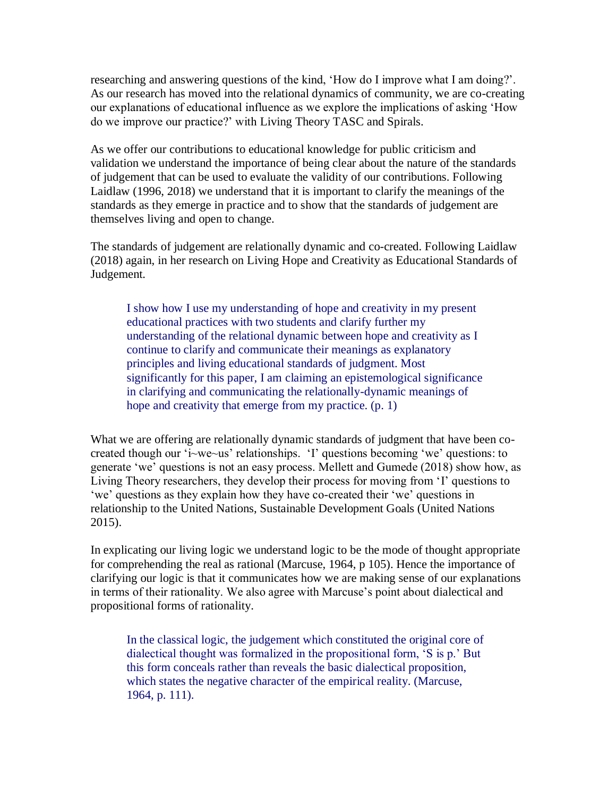researching and answering questions of the kind, 'How do I improve what I am doing?'. As our research has moved into the relational dynamics of community, we are co-creating our explanations of educational influence as we explore the implications of asking 'How do we improve our practice?' with Living Theory TASC and Spirals.

As we offer our contributions to educational knowledge for public criticism and validation we understand the importance of being clear about the nature of the standards of judgement that can be used to evaluate the validity of our contributions. Following Laidlaw (1996, 2018) we understand that it is important to clarify the meanings of the standards as they emerge in practice and to show that the standards of judgement are themselves living and open to change.

The standards of judgement are relationally dynamic and co-created. Following Laidlaw (2018) again, in her research on Living Hope and Creativity as Educational Standards of Judgement.

I show how I use my understanding of hope and creativity in my present educational practices with two students and clarify further my understanding of the relational dynamic between hope and creativity as I continue to clarify and communicate their meanings as explanatory principles and living educational standards of judgment. Most significantly for this paper, I am claiming an epistemological significance in clarifying and communicating the relationally-dynamic meanings of hope and creativity that emerge from my practice. (p. 1)

What we are offering are relationally dynamic standards of judgment that have been cocreated though our 'i~we~us' relationships. 'I' questions becoming 'we' questions: to generate 'we' questions is not an easy process. Mellett and Gumede (2018) show how, as Living Theory researchers, they develop their process for moving from 'I' questions to 'we' questions as they explain how they have co-created their 'we' questions in relationship to the United Nations, Sustainable Development Goals (United Nations 2015).

In explicating our living logic we understand logic to be the mode of thought appropriate for comprehending the real as rational (Marcuse, 1964, p 105). Hence the importance of clarifying our logic is that it communicates how we are making sense of our explanations in terms of their rationality. We also agree with Marcuse's point about dialectical and propositional forms of rationality.

In the classical logic, the judgement which constituted the original core of dialectical thought was formalized in the propositional form, 'S is p.' But this form conceals rather than reveals the basic dialectical proposition, which states the negative character of the empirical reality. (Marcuse, 1964, p. 111).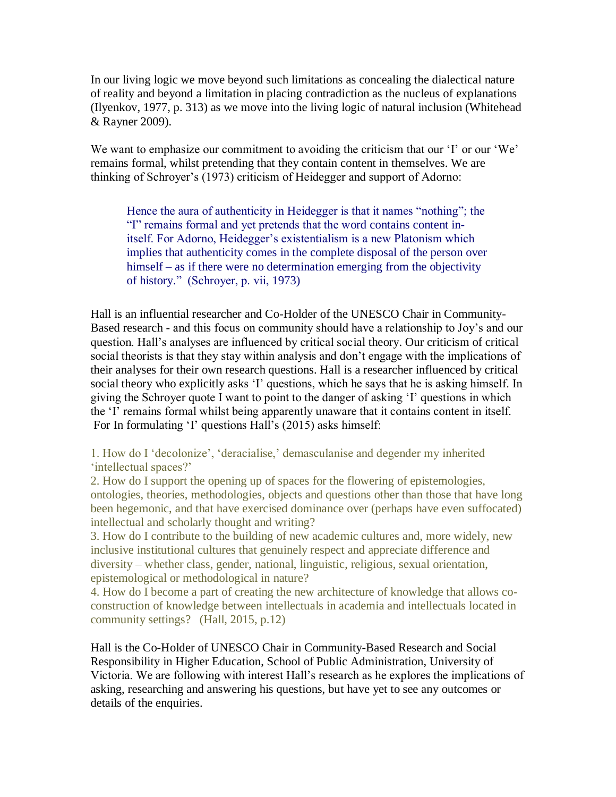In our living logic we move beyond such limitations as concealing the dialectical nature of reality and beyond a limitation in placing contradiction as the nucleus of explanations (Ilyenkov, 1977, p. 313) as we move into the living logic of natural inclusion (Whitehead & Rayner 2009).

We want to emphasize our commitment to avoiding the criticism that our 'I' or our 'We' remains formal, whilst pretending that they contain content in themselves. We are thinking of Schroyer's (1973) criticism of Heidegger and support of Adorno:

Hence the aura of authenticity in Heidegger is that it names "nothing"; the "I" remains formal and yet pretends that the word contains content initself. For Adorno, Heidegger's existentialism is a new Platonism which implies that authenticity comes in the complete disposal of the person over himself – as if there were no determination emerging from the objectivity of history." (Schroyer, p. vii, 1973)

Hall is an influential researcher and Co-Holder of the UNESCO Chair in Community-Based research - and this focus on community should have a relationship to Joy's and our question. Hall's analyses are influenced by critical social theory. Our criticism of critical social theorists is that they stay within analysis and don't engage with the implications of their analyses for their own research questions. Hall is a researcher influenced by critical social theory who explicitly asks 'I' questions, which he says that he is asking himself. In giving the Schroyer quote I want to point to the danger of asking 'I' questions in which the 'I' remains formal whilst being apparently unaware that it contains content in itself. For In formulating 'I' questions Hall's (2015) asks himself:

1. How do I 'decolonize', 'deracialise,' demasculanise and degender my inherited 'intellectual spaces?'

2. How do I support the opening up of spaces for the flowering of epistemologies, ontologies, theories, methodologies, objects and questions other than those that have long been hegemonic, and that have exercised dominance over (perhaps have even suffocated) intellectual and scholarly thought and writing?

3. How do I contribute to the building of new academic cultures and, more widely, new inclusive institutional cultures that genuinely respect and appreciate difference and diversity – whether class, gender, national, linguistic, religious, sexual orientation, epistemological or methodological in nature?

4. How do I become a part of creating the new architecture of knowledge that allows coconstruction of knowledge between intellectuals in academia and intellectuals located in community settings? (Hall, 2015, p.12)

Hall is the Co-Holder of UNESCO Chair in Community-Based Research and Social Responsibility in Higher Education, School of Public Administration, University of Victoria. We are following with interest Hall's research as he explores the implications of asking, researching and answering his questions, but have yet to see any outcomes or details of the enquiries.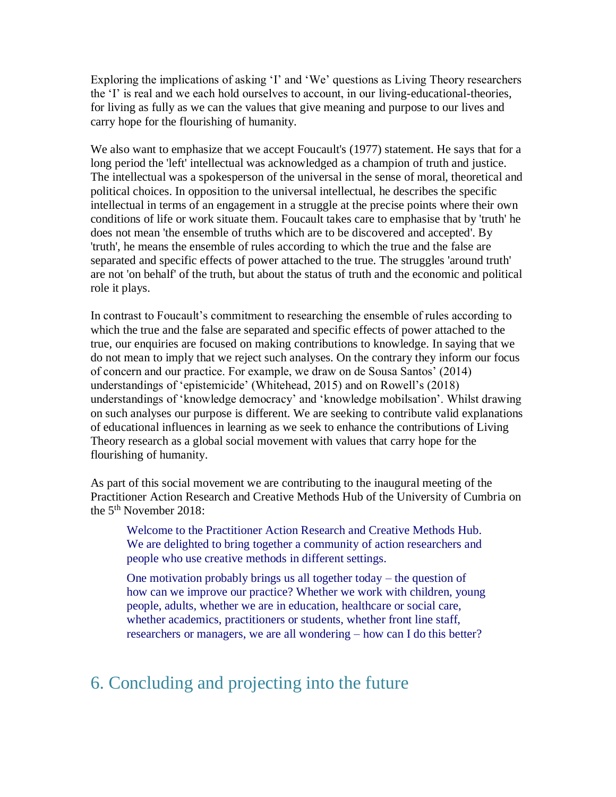Exploring the implications of asking 'I' and 'We' questions as Living Theory researchers the 'I' is real and we each hold ourselves to account, in our living-educational-theories, for living as fully as we can the values that give meaning and purpose to our lives and carry hope for the flourishing of humanity.

We also want to emphasize that we accept Foucault's (1977) statement. He says that for a long period the 'left' intellectual was acknowledged as a champion of truth and justice. The intellectual was a spokesperson of the universal in the sense of moral, theoretical and political choices. In opposition to the universal intellectual, he describes the specific intellectual in terms of an engagement in a struggle at the precise points where their own conditions of life or work situate them. Foucault takes care to emphasise that by 'truth' he does not mean 'the ensemble of truths which are to be discovered and accepted'. By 'truth', he means the ensemble of rules according to which the true and the false are separated and specific effects of power attached to the true. The struggles 'around truth' are not 'on behalf' of the truth, but about the status of truth and the economic and political role it plays.

In contrast to Foucault's commitment to researching the ensemble of rules according to which the true and the false are separated and specific effects of power attached to the true, our enquiries are focused on making contributions to knowledge. In saying that we do not mean to imply that we reject such analyses. On the contrary they inform our focus of concern and our practice. For example, we draw on de Sousa Santos' (2014) understandings of 'epistemicide' (Whitehead, 2015) and on Rowell's (2018) understandings of 'knowledge democracy' and 'knowledge mobilsation'. Whilst drawing on such analyses our purpose is different. We are seeking to contribute valid explanations of educational influences in learning as we seek to enhance the contributions of Living Theory research as a global social movement with values that carry hope for the flourishing of humanity.

As part of this social movement we are contributing to the inaugural meeting of the Practitioner Action Research and Creative Methods Hub of the University of Cumbria on the 5<sup>th</sup> November 2018:

Welcome to the Practitioner Action Research and Creative Methods Hub. We are delighted to bring together a community of action researchers and people who use creative methods in different settings.

One motivation probably brings us all together today – the question of how can we improve our practice? Whether we work with children, young people, adults, whether we are in education, healthcare or social care, whether academics, practitioners or students, whether front line staff, researchers or managers, we are all wondering – how can I do this better?

## 6. Concluding and projecting into the future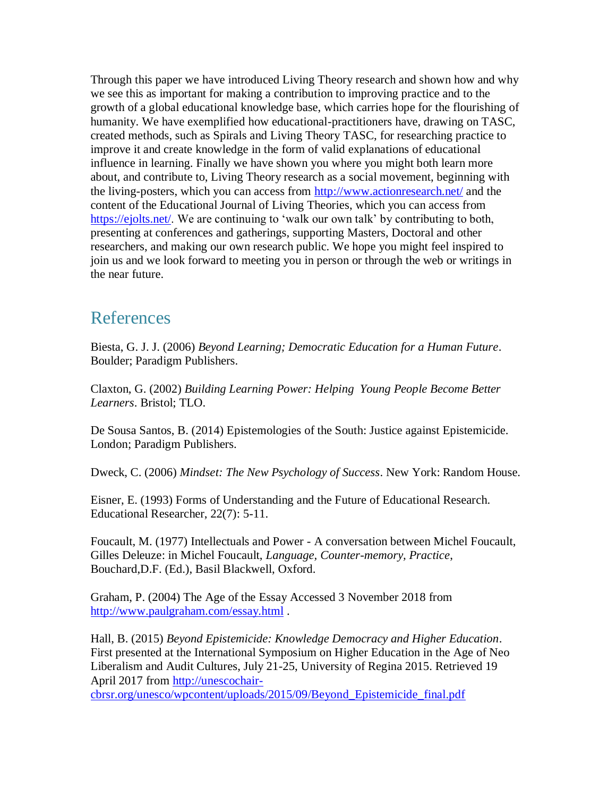Through this paper we have introduced Living Theory research and shown how and why we see this as important for making a contribution to improving practice and to the growth of a global educational knowledge base, which carries hope for the flourishing of humanity. We have exemplified how educational-practitioners have, drawing on TASC, created methods, such as Spirals and Living Theory TASC, for researching practice to improve it and create knowledge in the form of valid explanations of educational influence in learning. Finally we have shown you where you might both learn more about, and contribute to, Living Theory research as a social movement, beginning with the living-posters, which you can access from<http://www.actionresearch.net/> and the content of the Educational Journal of Living Theories, which you can access from [https://ejolts.net/.](https://ejolts.net/) We are continuing to 'walk our own talk' by contributing to both, presenting at conferences and gatherings, supporting Masters, Doctoral and other researchers, and making our own research public. We hope you might feel inspired to join us and we look forward to meeting you in person or through the web or writings in the near future.

### References

Biesta, G. J. J. (2006) *Beyond Learning; Democratic Education for a Human Future*. Boulder; Paradigm Publishers.

Claxton, G. (2002) *Building Learning Power: Helping Young People Become Better Learners*. Bristol; TLO.

De Sousa Santos, B. (2014) Epistemologies of the South: Justice against Epistemicide. London; Paradigm Publishers.

Dweck, C. (2006) *Mindset: The New Psychology of Success*. New York: Random House.

Eisner, E. (1993) Forms of Understanding and the Future of Educational Research. Educational Researcher, 22(7): 5-11.

Foucault, M. (1977) Intellectuals and Power - A conversation between Michel Foucault, Gilles Deleuze: in Michel Foucault, *Language, Counter-memory, Practice*, Bouchard,D.F. (Ed.), Basil Blackwell, Oxford.

Graham, P. (2004) The Age of the Essay Accessed 3 November 2018 from <http://www.paulgraham.com/essay.html> .

Hall, B. (2015) *Beyond Epistemicide: Knowledge Democracy and Higher Education*. First presented at the International Symposium on Higher Education in the Age of Neo Liberalism and Audit Cultures, July 21-25, University of Regina 2015. Retrieved 19 April 2017 from [http://unescochair-](http://unescochair-cbrsr.org/unesco/wp-content/uploads/2015/09/Beyond_Epistemicide_final.pdf)

[cbrsr.org/unesco/wpcontent/uploads/2015/09/Beyond\\_Epistemicide\\_final.pdf](http://unescochair-cbrsr.org/unesco/wp-content/uploads/2015/09/Beyond_Epistemicide_final.pdf)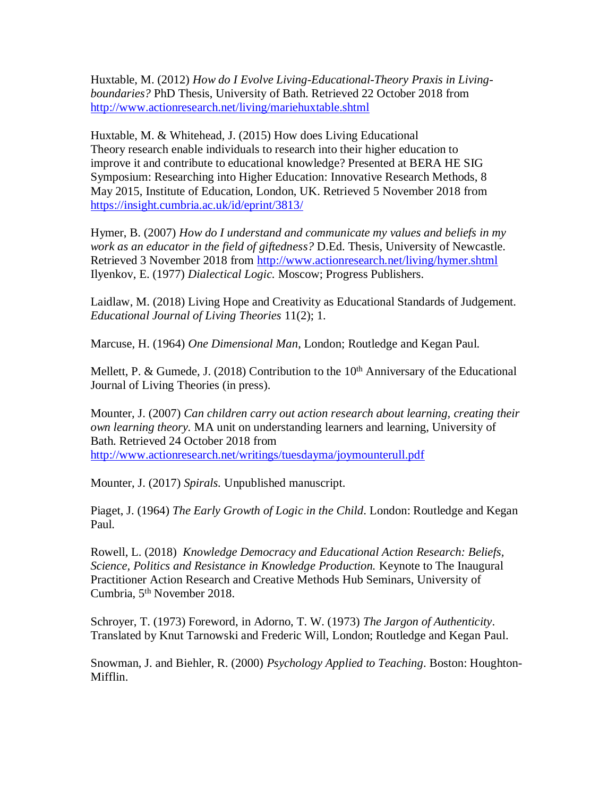Huxtable, M. (2012) *How do I Evolve Living-Educational-Theory Praxis in Livingboundaries?* PhD Thesis, University of Bath. Retrieved 22 October 2018 from <http://www.actionresearch.net/living/mariehuxtable.shtml>

Huxtable, M. & Whitehead, J. (2015) How does Living Educational Theory research enable individuals to research into their higher education to improve it and contribute to educational knowledge? Presented at BERA HE SIG Symposium: Researching into Higher Education: Innovative Research Methods, 8 May 2015, Institute of Education, London, UK. Retrieved 5 November 2018 from <https://insight.cumbria.ac.uk/id/eprint/3813/>

Hymer, B. (2007) *How do I understand and communicate my values and beliefs in my work as an educator in the field of giftedness?* D.Ed. Thesis, University of Newcastle. Retrieved 3 November 2018 from <http://www.actionresearch.net/living/hymer.shtml> Ilyenkov, E. (1977) *Dialectical Logic.* Moscow; Progress Publishers.

Laidlaw, M. (2018) Living Hope and Creativity as Educational Standards of Judgement. *Educational Journal of Living Theories* 11(2); 1.

Marcuse, H. (1964) *One Dimensional Man*, London; Routledge and Kegan Paul.

Mellett, P. & Gumede, J. (2018) Contribution to the  $10<sup>th</sup>$  Anniversary of the Educational Journal of Living Theories (in press).

Mounter, J. (2007) *Can children carry out action research about learning, creating their own learning theory.* MA unit on understanding learners and learning, University of Bath. Retrieved 24 October 2018 from <http://www.actionresearch.net/writings/tuesdayma/joymounterull.pdf>

Mounter, J. (2017) *Spirals.* Unpublished manuscript.

Piaget, J. (1964) *The Early Growth of Logic in the Child*. London: Routledge and Kegan Paul.

Rowell, L. (2018) *Knowledge Democracy and Educational Action Research: Beliefs, Science, Politics and Resistance in Knowledge Production.* Keynote to The Inaugural Practitioner Action Research and Creative Methods Hub Seminars, University of Cumbria, 5<sup>th</sup> November 2018.

Schroyer, T. (1973) Foreword, in Adorno, T. W. (1973) *The Jargon of Authenticity*. Translated by Knut Tarnowski and Frederic Will, London; Routledge and Kegan Paul.

Snowman, J. and Biehler, R. (2000) *Psychology Applied to Teaching*. Boston: Houghton-Mifflin.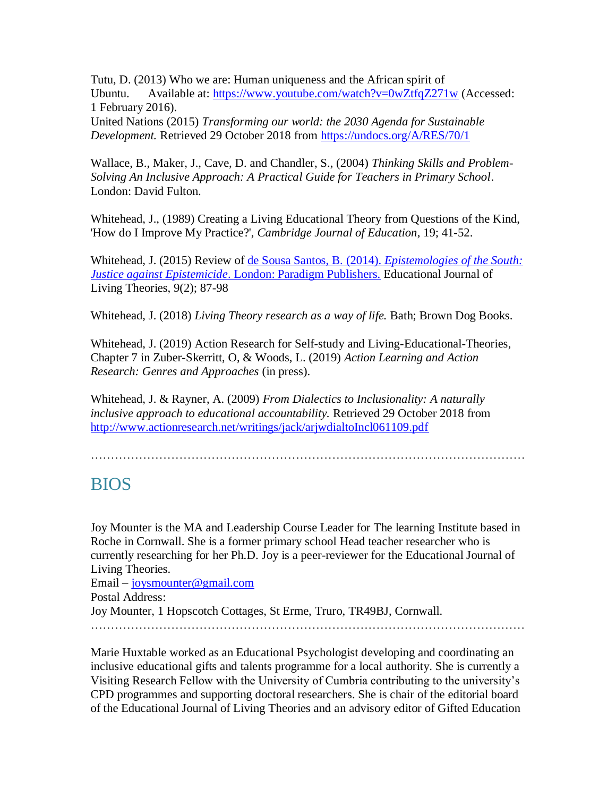Tutu, D. (2013) Who we are: Human uniqueness and the African spirit of Ubuntu. Available at:<https://www.youtube.com/watch?v=0wZtfqZ271w> (Accessed: 1 February 2016).

United Nations (2015) *Transforming our world: the 2030 Agenda for Sustainable Development.* Retrieved 29 October 2018 from<https://undocs.org/A/RES/70/1>

Wallace, B., Maker, J., Cave, D. and Chandler, S., (2004) *Thinking Skills and Problem-Solving An Inclusive Approach: A Practical Guide for Teachers in Primary School*. London: David Fulton.

Whitehead, J., (1989) Creating a Living Educational Theory from Questions of the Kind, 'How do I Improve My Practice?', *Cambridge Journal of Education*, 19; 41-52.

Whitehead, J. (2015) Review of de Sousa Santos, B. (2014). *[Epistemologies of the South:](http://ejolts.net/node/288)  Justice against Epistemicide*[. London: Paradigm Publishers.](http://ejolts.net/node/288) Educational Journal of Living Theories, 9(2); 87-98

Whitehead, J. (2018) *Living Theory research as a way of life.* Bath; Brown Dog Books.

Whitehead, J. (2019) Action Research for Self-study and Living-Educational-Theories, Chapter 7 in Zuber-Skerritt, O, & Woods, L. (2019) *Action Learning and Action Research: Genres and Approaches* (in press).

Whitehead, J. & Rayner, A. (2009) *From Dialectics to Inclusionality: A naturally inclusive approach to educational accountability.* Retrieved 29 October 2018 from <http://www.actionresearch.net/writings/jack/arjwdialtoIncl061109.pdf>

………………………………………………………………………………………………

## BIOS

Joy Mounter is the MA and Leadership Course Leader for The learning Institute based in Roche in Cornwall. She is a former primary school Head teacher researcher who is currently researching for her Ph.D. Joy is a peer-reviewer for the Educational Journal of Living Theories.

Email – [joysmounter@gmail.com](mailto:joysmounter@gmail.com)

Postal Address:

Joy Mounter, 1 Hopscotch Cottages, St Erme, Truro, TR49BJ, Cornwall.

………………………………………………………………………………………………

Marie Huxtable worked as an Educational Psychologist developing and coordinating an inclusive educational gifts and talents programme for a local authority. She is currently a Visiting Research Fellow with the University of Cumbria contributing to the university's CPD programmes and supporting doctoral researchers. She is chair of the editorial board of the Educational Journal of Living Theories and an advisory editor of Gifted Education